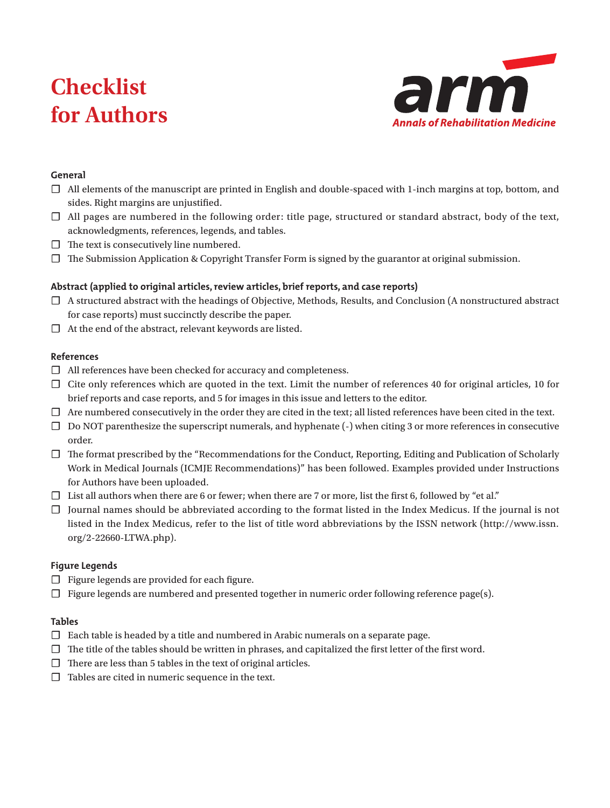# **Checklist for Authors**



## **General**

- ☐ All elements of the manuscript are printed in English and double-spaced with 1-inch margins at top, bottom, and sides. Right margins are unjustified.
- ☐ All pages are numbered in the following order: title page, structured or standard abstract, body of the text, acknowledgments, references, legends, and tables.
- $\Box$  The text is consecutively line numbered.
- ☐ The Submission Application & Copyright Transfer Form is signed by the guarantor at original submission.

## **Abstract (applied to original articles, review articles, brief reports, and case reports)**

- ☐ A structured abstract with the headings of Objective, Methods, Results, and Conclusion (A nonstructured abstract for case reports) must succinctly describe the paper.
- $\Box$  At the end of the abstract, relevant keywords are listed.

## **References**

- ☐ All references have been checked for accuracy and completeness.
- ☐ Cite only references which are quoted in the text. Limit the number of references 40 for original articles, 10 for brief reports and case reports, and 5 for images in this issue and letters to the editor.
- $\Box$  Are numbered consecutively in the order they are cited in the text; all listed references have been cited in the text.
- ☐ Do NOT parenthesize the superscript numerals, and hyphenate (-) when citing 3 or more references in consecutive order.
- ☐ The format prescribed by the "Recommendations for the Conduct, Reporting, Editing and Publication of Scholarly Work in Medical Journals (ICMJE Recommendations)" has been followed. Examples provided under Instructions for Authors have been uploaded.
- $\Box$  List all authors when there are 6 or fewer; when there are 7 or more, list the first 6, followed by "et al."
- ☐ Journal names should be abbreviated according to the format listed in the Index Medicus. If the journal is not listed in the Index Medicus, refer to the list of title word abbreviations by the ISSN network (http://www.issn. org/2-22660-LTWA.php).

## **Figure Legends**

- ☐ Figure legends are provided for each figure.
- $\Box$  Figure legends are numbered and presented together in numeric order following reference page(s).

## **Tables**

- $\Box$  Each table is headed by a title and numbered in Arabic numerals on a separate page.
- $\Box$  The title of the tables should be written in phrases, and capitalized the first letter of the first word.
- $\Box$  There are less than 5 tables in the text of original articles.
- $\Box$  Tables are cited in numeric sequence in the text.